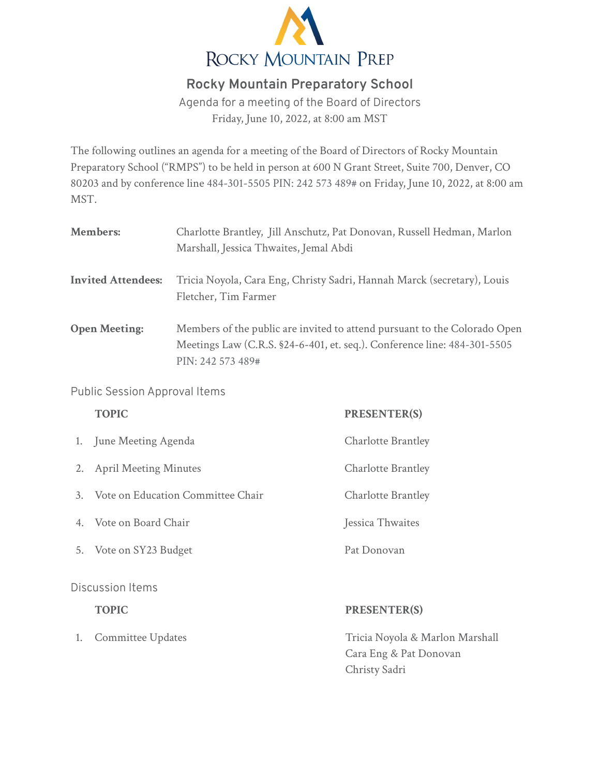

## **Rocky Mountain Preparatory School**

Agenda for a meeting of the Board of Directors Friday, June 10, 2022, at 8:00 am MST

The following outlines an agenda for a meeting of the Board of Directors of Rocky Mountain Preparatory School ("RMPS") to be held in person at 600 N Grant Street, Suite 700, Denver, CO 80203 and by conference line 484-301-5505 PIN: 242 573 489# on Friday, June 10, 2022, at 8:00 am MST.

| <b>Members:</b>           | Charlotte Brantley, Jill Anschutz, Pat Donovan, Russell Hedman, Marlon<br>Marshall, Jessica Thwaites, Jemal Abdi                                                           |
|---------------------------|----------------------------------------------------------------------------------------------------------------------------------------------------------------------------|
| <b>Invited Attendees:</b> | Tricia Noyola, Cara Eng, Christy Sadri, Hannah Marck (secretary), Louis<br>Fletcher, Tim Farmer                                                                            |
| <b>Open Meeting:</b>      | Members of the public are invited to attend pursuant to the Colorado Open<br>Meetings Law (C.R.S. §24-6-401, et. seq.). Conference line: 484-301-5505<br>PIN: 242 573 489# |

## Public Session Approval Items

|                  | <b>TOPIC</b>                      | <b>PRESENTER(S)</b>       |  |
|------------------|-----------------------------------|---------------------------|--|
|                  | 1. June Meeting Agenda            | <b>Charlotte Brantley</b> |  |
| 2.               | <b>April Meeting Minutes</b>      | Charlotte Brantley        |  |
| $\mathcal{Z}$    | Vote on Education Committee Chair | <b>Charlotte Brantley</b> |  |
| $4_{\cdot}$      | - Vote on Board Chair             | Jessica Thwaites          |  |
|                  | 5. Vote on SY23 Budget            | Pat Donovan               |  |
| Discussion Items |                                   |                           |  |

## **TOPIC PRESENTER(S)**

## 1. Committee Updates **Tricia Noyola & Marlon Marshall**

Cara Eng & Pat Donovan Christy Sadri